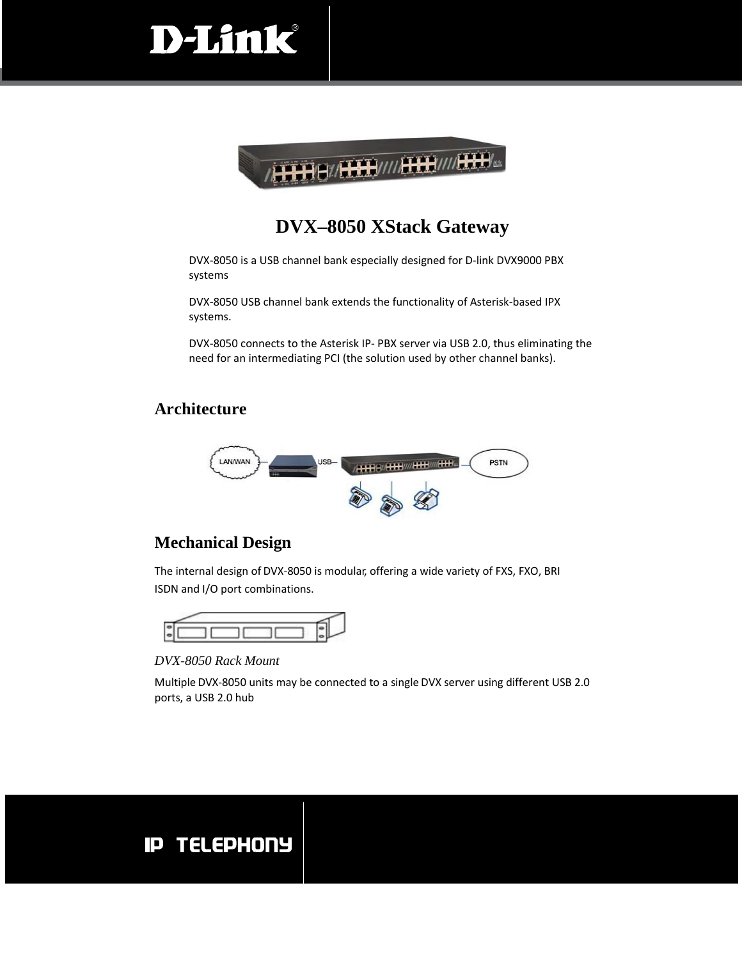



#### **DVX–8050 XStack Gateway**

DVX‐8050 is a USB channel bank especially designed for D‐link DVX9000 PBX systems

DVX‐8050 USB channel bank extends the functionality of Asterisk‐based IPX systems.

DVX‐8050 connects to the Asterisk IP‐ PBX server via USB 2.0, thus eliminating the need for an intermediating PCI (the solution used by other channel banks).

#### **Architecture**



#### **Mechanical Design**

The internal design of DVX‐8050 is modular, offering a wide variety of FXS, FXO, BRI ISDN and I/O port combinations.



*DVX-8050 Rack Mount*

Multiple DVX‐8050 units may be connected to a single DVX server using different USB 2.0 ports, a USB 2.0 hub

## **IP TELEPHONY**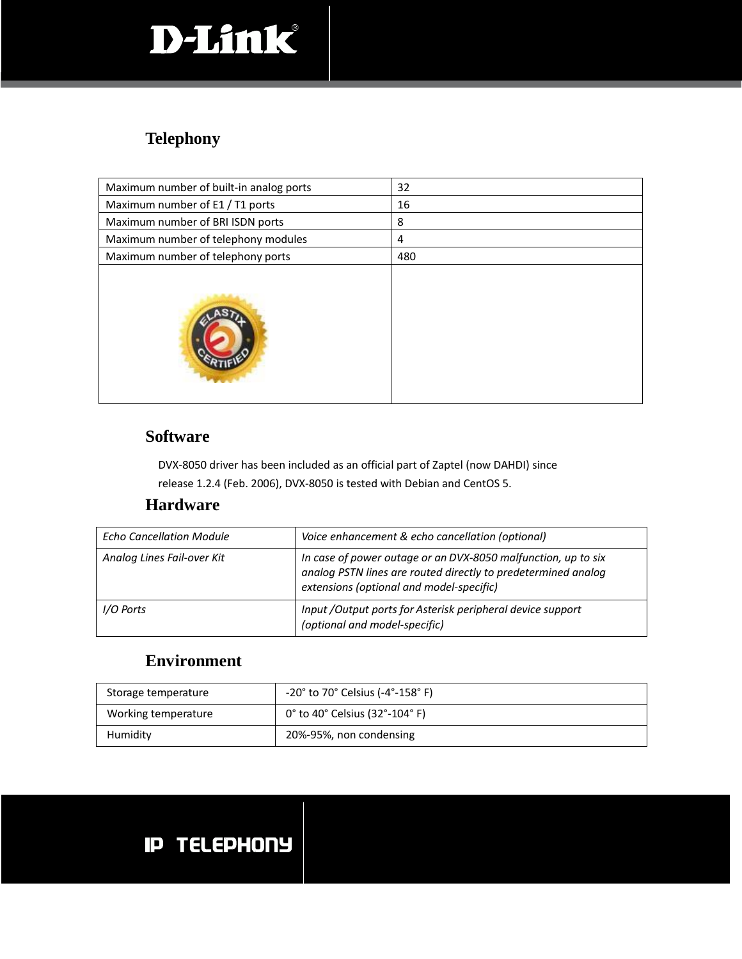# D-Link

### **Telephony**

| Maximum number of built-in analog ports | 32  |
|-----------------------------------------|-----|
| Maximum number of E1 / T1 ports         | 16  |
| Maximum number of BRI ISDN ports        | 8   |
| Maximum number of telephony modules     | 4   |
| Maximum number of telephony ports       | 480 |
|                                         |     |

#### **Software**

DVX‐8050 driver has been included as an official part of Zaptel (now DAHDI) since

release 1.2.4 (Feb. 2006), DVX‐8050 is tested with Debian and CentOS 5.

#### **Hardware**

| <b>Echo Cancellation Module</b> | Voice enhancement & echo cancellation (optional)                                                                                                                           |
|---------------------------------|----------------------------------------------------------------------------------------------------------------------------------------------------------------------------|
| Analog Lines Fail-over Kit      | In case of power outage or an DVX-8050 malfunction, up to six<br>analog PSTN lines are routed directly to predetermined analog<br>extensions (optional and model-specific) |
| I/O Ports                       | Input / Output ports for Asterisk peripheral device support<br>(optional and model-specific)                                                                               |

#### **Environment**

| Storage temperature | $-20^{\circ}$ to 70° Celsius (-4°-158° F) |
|---------------------|-------------------------------------------|
| Working temperature | 0° to 40° Celsius (32°-104° F)            |
| Humidity            | 20%-95%, non condensing                   |

# **IP TELEPHONY**